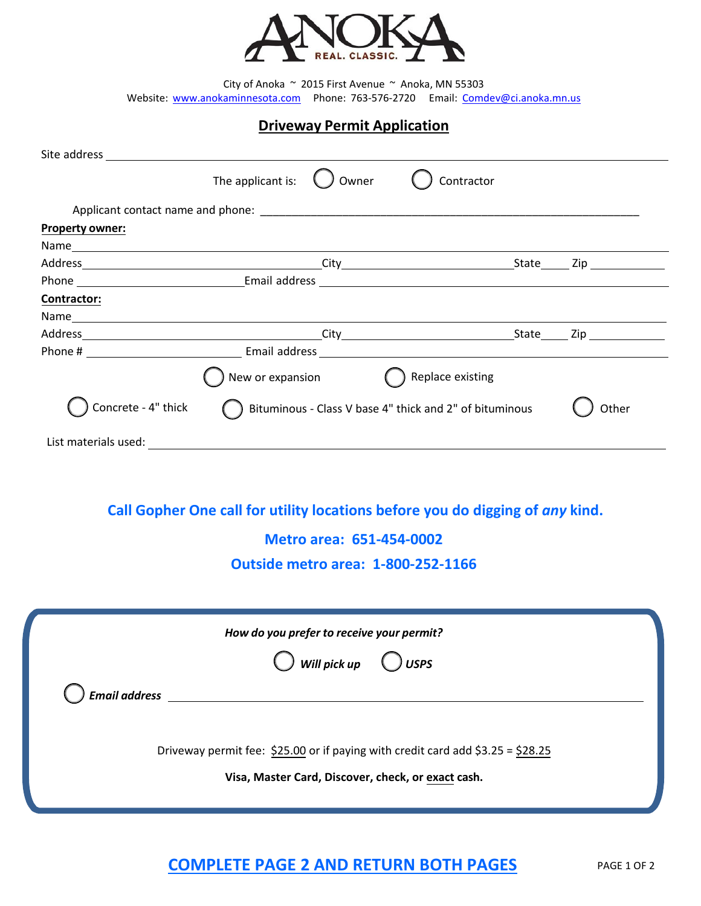

City of Anoka  $~\sim$  2015 First Avenue  $~\sim$  Anoka, MN 55303 Website: [www.anokaminnesota.com](http://www.anokaminnesota.com/)  Phon[e: 763-576-2720](mailto:Comdev@ci.anoka.mn.us)  Email: Comdev@ci.anoka.mn.us

## **Driveway Permit Application**

| Site address and the state of the state of the state of the state of the state of the state of the state of the |                                              |                                                                               |  |  |  |  |
|-----------------------------------------------------------------------------------------------------------------|----------------------------------------------|-------------------------------------------------------------------------------|--|--|--|--|
|                                                                                                                 | The applicant is:<br>Owner                   | Contractor                                                                    |  |  |  |  |
|                                                                                                                 |                                              |                                                                               |  |  |  |  |
| <b>Property owner:</b>                                                                                          |                                              |                                                                               |  |  |  |  |
|                                                                                                                 |                                              |                                                                               |  |  |  |  |
|                                                                                                                 |                                              |                                                                               |  |  |  |  |
|                                                                                                                 |                                              |                                                                               |  |  |  |  |
| Contractor:                                                                                                     |                                              |                                                                               |  |  |  |  |
|                                                                                                                 |                                              |                                                                               |  |  |  |  |
|                                                                                                                 |                                              |                                                                               |  |  |  |  |
|                                                                                                                 |                                              |                                                                               |  |  |  |  |
|                                                                                                                 | New or expansion $\bigodot$ Replace existing |                                                                               |  |  |  |  |
| Concrete - 4" thick<br>Bituminous - Class V base 4" thick and 2" of bituminous                                  |                                              |                                                                               |  |  |  |  |
|                                                                                                                 |                                              |                                                                               |  |  |  |  |
|                                                                                                                 |                                              |                                                                               |  |  |  |  |
|                                                                                                                 |                                              | Call Gopher One call for utility locations before you do digging of any kind. |  |  |  |  |

**Metro area: 651-454-0002** 

**Outside metro area: 1-800-252-1166** 

| How do you prefer to receive your permit?<br>$\bigcup$ Will pick up<br>$\bigcup$ USPS                                                 |  |  |  |  |  |
|---------------------------------------------------------------------------------------------------------------------------------------|--|--|--|--|--|
| <b>Email address</b>                                                                                                                  |  |  |  |  |  |
| Driveway permit fee: \$25.00 or if paying with credit card add \$3.25 = \$28.25<br>Visa, Master Card, Discover, check, or exact cash. |  |  |  |  |  |